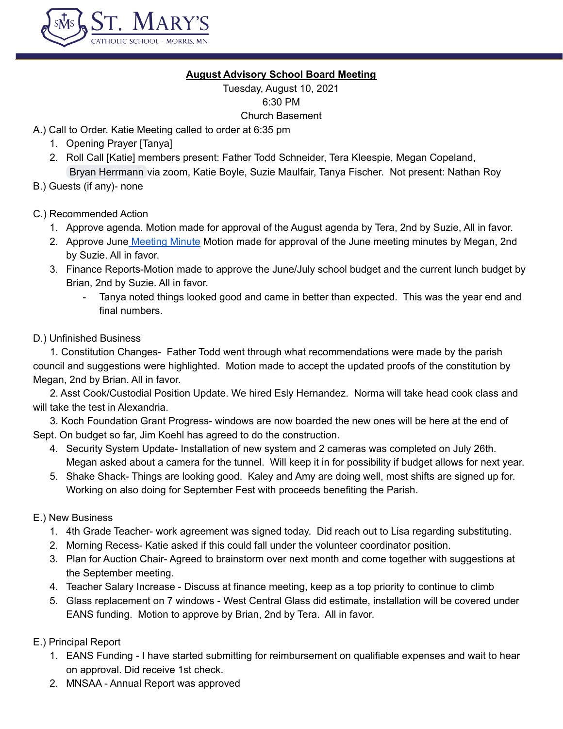

# **August Advisory School Board Meeting**

Tuesday, August 10, 2021 6:30 PM Church Basement

- A.) Call to Order. Katie Meeting called to order at 6:35 pm
	- 1. Opening Prayer [Tanya]
	- 2. Roll Call [Katie] members present: Father Todd Schneider, Tera Kleespie, Megan Copeland, Bryan [Herrmann](mailto:herrmanb@morris.umn.edu) via zoom, Katie Boyle, Suzie Maulfair, Tanya Fischer. Not present: Nathan Roy
- B.) Guests (if any)- none

# C.) Recommended Action

- 1. Approve agenda. Motion made for approval of the August agenda by Tera, 2nd by Suzie, All in favor.
- 2. Approve June [Meeting](https://docs.google.com/document/d/1Bmz3JOz2jJ07ZO60_erxRtcKFZ7vmPXcD87Udn0FXRc/edit) Minute Motion made for approval of the June meeting minutes by Megan, 2nd by Suzie. All in favor.
- 3. Finance Reports-Motion made to approve the June/July school budget and the current lunch budget by Brian, 2nd by Suzie. All in favor.
	- Tanya noted things looked good and came in better than expected. This was the year end and final numbers.

### D.) Unfinished Business

1. Constitution Changes- Father Todd went through what recommendations were made by the parish council and suggestions were highlighted. Motion made to accept the updated proofs of the constitution by Megan, 2nd by Brian. All in favor.

2. Asst Cook/Custodial Position Update. We hired Esly Hernandez. Norma will take head cook class and will take the test in Alexandria.

3. Koch Foundation Grant Progress- windows are now boarded the new ones will be here at the end of Sept. On budget so far, Jim Koehl has agreed to do the construction.

- 4. Security System Update- Installation of new system and 2 cameras was completed on July 26th. Megan asked about a camera for the tunnel. Will keep it in for possibility if budget allows for next year.
- 5. Shake Shack- Things are looking good. Kaley and Amy are doing well, most shifts are signed up for. Working on also doing for September Fest with proceeds benefiting the Parish.

# E.) New Business

- 1. 4th Grade Teacher- work agreement was signed today. Did reach out to Lisa regarding substituting.
- 2. Morning Recess- Katie asked if this could fall under the volunteer coordinator position.
- 3. Plan for Auction Chair- Agreed to brainstorm over next month and come together with suggestions at the September meeting.
- 4. Teacher Salary Increase Discuss at finance meeting, keep as a top priority to continue to climb
- 5. Glass replacement on 7 windows West Central Glass did estimate, installation will be covered under EANS funding. Motion to approve by Brian, 2nd by Tera. All in favor.

E.) Principal Report

- 1. EANS Funding I have started submitting for reimbursement on qualifiable expenses and wait to hear on approval. Did receive 1st check.
- 2. MNSAA Annual Report was approved